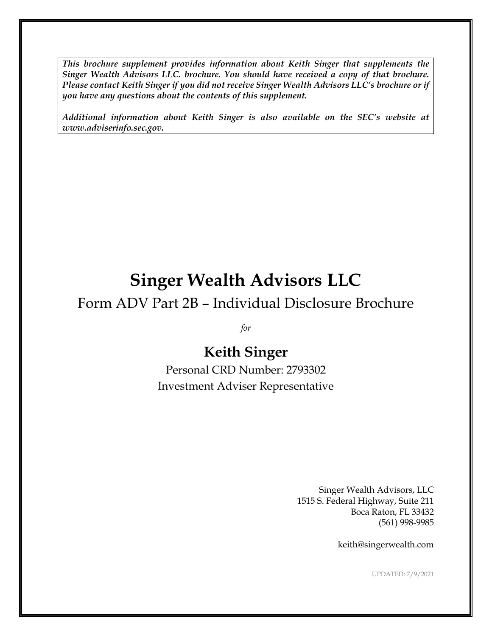*This brochure supplement provides information about Keith Singer that supplements the Singer Wealth Advisors LLC. brochure. You should have received a copy of that brochure. Please contact Keith Singer if you did not receive Singer Wealth Advisors LLC's brochure or if you have any questions about the contents of this supplement.*

*Additional information about Keith Singer is also available on the SEC's website at www.adviserinfo.sec.gov.*

# **Singer Wealth Advisors LLC**

Form ADV Part 2B – Individual Disclosure Brochure

*for*

# **Keith Singer**

Personal CRD Number: 2793302 Investment Adviser Representative

> Singer Wealth Advisors, LLC 1515 S. Federal Highway, Suite 211 Boca Raton, FL 33432 (561) 998-9985

> > keith@singerwealth.com

UPDATED: 7/9/2021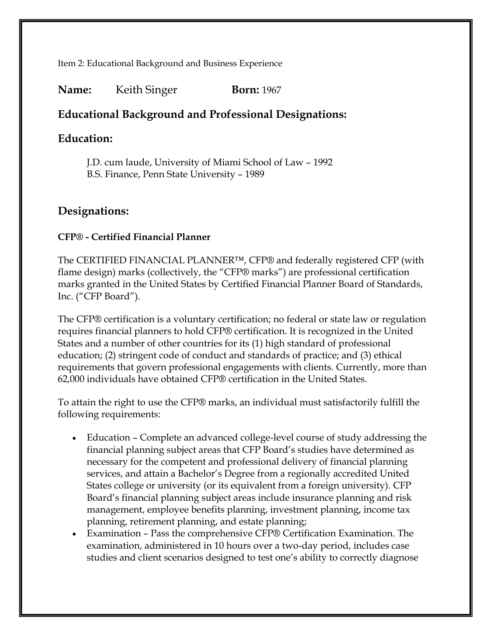Item 2: Educational Background and Business Experience

#### **Name:** Keith Singer **Born:** 1967

### **Educational Background and Professional Designations:**

#### **Education:**

J.D. cum laude, University of Miami School of Law – 1992 B.S. Finance, Penn State University – 1989

#### **Designations:**

#### **CFP® - Certified Financial Planner**

The CERTIFIED FINANCIAL PLANNER™, CFP® and federally registered CFP (with flame design) marks (collectively, the "CFP® marks") are professional certification marks granted in the United States by Certified Financial Planner Board of Standards, Inc. ("CFP Board").

The CFP® certification is a voluntary certification; no federal or state law or regulation requires financial planners to hold CFP® certification. It is recognized in the United States and a number of other countries for its (1) high standard of professional education; (2) stringent code of conduct and standards of practice; and (3) ethical requirements that govern professional engagements with clients. Currently, more than 62,000 individuals have obtained CFP® certification in the United States.

To attain the right to use the CFP® marks, an individual must satisfactorily fulfill the following requirements:

- Education Complete an advanced college-level course of study addressing the financial planning subject areas that CFP Board's studies have determined as necessary for the competent and professional delivery of financial planning services, and attain a Bachelor's Degree from a regionally accredited United States college or university (or its equivalent from a foreign university). CFP Board's financial planning subject areas include insurance planning and risk management, employee benefits planning, investment planning, income tax planning, retirement planning, and estate planning;
- Examination Pass the comprehensive CFP® Certification Examination. The examination, administered in 10 hours over a two-day period, includes case studies and client scenarios designed to test one's ability to correctly diagnose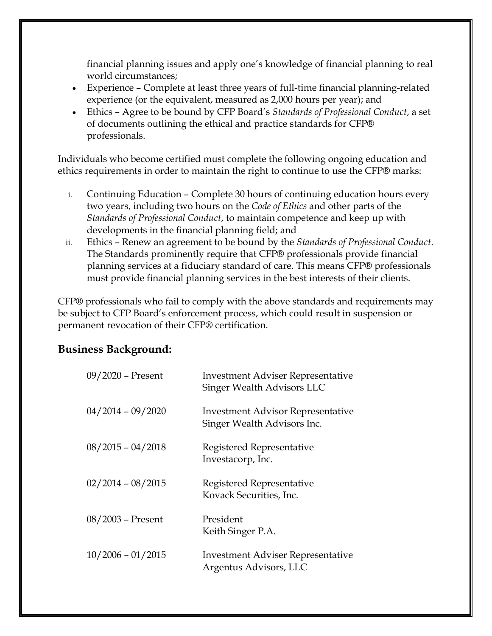financial planning issues and apply one's knowledge of financial planning to real world circumstances;

- Experience Complete at least three years of full-time financial planning-related experience (or the equivalent, measured as 2,000 hours per year); and
- Ethics Agree to be bound by CFP Board's *Standards of Professional Conduct*, a set of documents outlining the ethical and practice standards for CFP® professionals.

Individuals who become certified must complete the following ongoing education and ethics requirements in order to maintain the right to continue to use the CFP® marks:

- i. Continuing Education Complete 30 hours of continuing education hours every two years, including two hours on the *Code of Ethics* and other parts of the *Standards of Professional Conduct*, to maintain competence and keep up with developments in the financial planning field; and
- ii. Ethics Renew an agreement to be bound by the *Standards of Professional Conduct*. The Standards prominently require that CFP® professionals provide financial planning services at a fiduciary standard of care. This means CFP® professionals must provide financial planning services in the best interests of their clients.

CFP® professionals who fail to comply with the above standards and requirements may be subject to CFP Board's enforcement process, which could result in suspension or permanent revocation of their CFP® certification.

#### **Business Background:**

| 09/2020 - Present   | <b>Investment Adviser Representative</b><br>Singer Wealth Advisors LLC  |
|---------------------|-------------------------------------------------------------------------|
| $04/2014 - 09/2020$ | <b>Investment Advisor Representative</b><br>Singer Wealth Advisors Inc. |
| $08/2015 - 04/2018$ | Registered Representative<br>Investacorp, Inc.                          |
| $02/2014 - 08/2015$ | Registered Representative<br>Kovack Securities, Inc.                    |
| $08/2003$ – Present | President<br>Keith Singer P.A.                                          |
| $10/2006 - 01/2015$ | Investment Adviser Representative<br>Argentus Advisors, LLC             |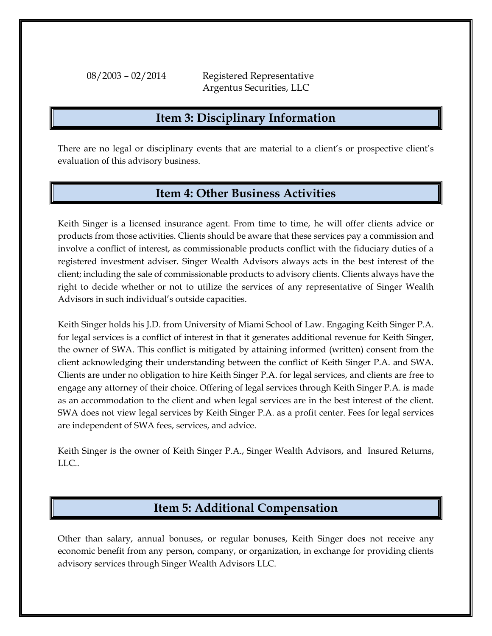08/2003 – 02/2014 Registered Representative Argentus Securities, LLC

### **Item 3: Disciplinary Information**

There are no legal or disciplinary events that are material to a client's or prospective client's evaluation of this advisory business.

## **Item 4: Other Business Activities**

Keith Singer is a licensed insurance agent. From time to time, he will offer clients advice or products from those activities. Clients should be aware that these services pay a commission and involve a conflict of interest, as commissionable products conflict with the fiduciary duties of a registered investment adviser. Singer Wealth Advisors always acts in the best interest of the client; including the sale of commissionable products to advisory clients. Clients always have the right to decide whether or not to utilize the services of any representative of Singer Wealth Advisors in such individual's outside capacities.

Keith Singer holds his J.D. from University of Miami School of Law. Engaging Keith Singer P.A. for legal services is a conflict of interest in that it generates additional revenue for Keith Singer, the owner of SWA. This conflict is mitigated by attaining informed (written) consent from the client acknowledging their understanding between the conflict of Keith Singer P.A. and SWA. Clients are under no obligation to hire Keith Singer P.A. for legal services, and clients are free to engage any attorney of their choice. Offering of legal services through Keith Singer P.A. is made as an accommodation to the client and when legal services are in the best interest of the client. SWA does not view legal services by Keith Singer P.A. as a profit center. Fees for legal services are independent of SWA fees, services, and advice.

Keith Singer is the owner of Keith Singer P.A., Singer Wealth Advisors, and Insured Returns, LLC..

## **Item 5: Additional Compensation**

Other than salary, annual bonuses, or regular bonuses, Keith Singer does not receive any economic benefit from any person, company, or organization, in exchange for providing clients advisory services through Singer Wealth Advisors LLC.